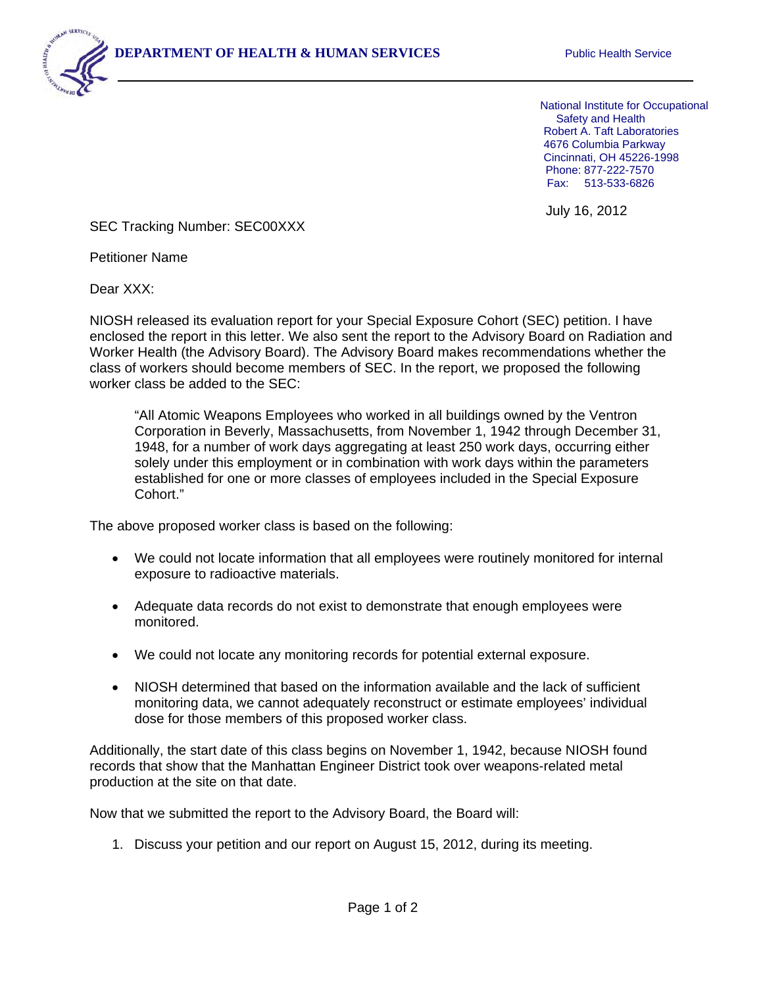

July 16, 2012

SEC Tracking Number: SEC00XXX

Petitioner Name

Dear XXX:

j

NIOSH released its evaluation report for your Special Exposure Cohort (SEC) petition. I have enclosed the report in this letter. We also sent the report to the Advisory Board on Radiation and Worker Health (the Advisory Board). The Advisory Board makes recommendations whether the class of workers should become members of SEC. In the report, we proposed the following worker class be added to the SEC:

"All Atomic Weapons Employees who worked in all buildings owned by the Ventron Corporation in Beverly, Massachusetts, from November 1, 1942 through December 31, 1948, for a number of work days aggregating at least 250 work days, occurring either solely under this employment or in combination with work days within the parameters established for one or more classes of employees included in the Special Exposure Cohort."

The above proposed worker class is based on the following:

- We could not locate information that all employees were routinely monitored for internal exposure to radioactive materials.
- Adequate data records do not exist to demonstrate that enough employees were monitored.
- We could not locate any monitoring records for potential external exposure.
- NIOSH determined that based on the information available and the lack of sufficient monitoring data, we cannot adequately reconstruct or estimate employees' individual dose for those members of this proposed worker class.

Additionally, the start date of this class begins on November 1, 1942, because NIOSH found records that show that the Manhattan Engineer District took over weapons-related metal production at the site on that date.

Now that we submitted the report to the Advisory Board, the Board will:

1. Discuss your petition and our report on August 15, 2012, during its meeting.